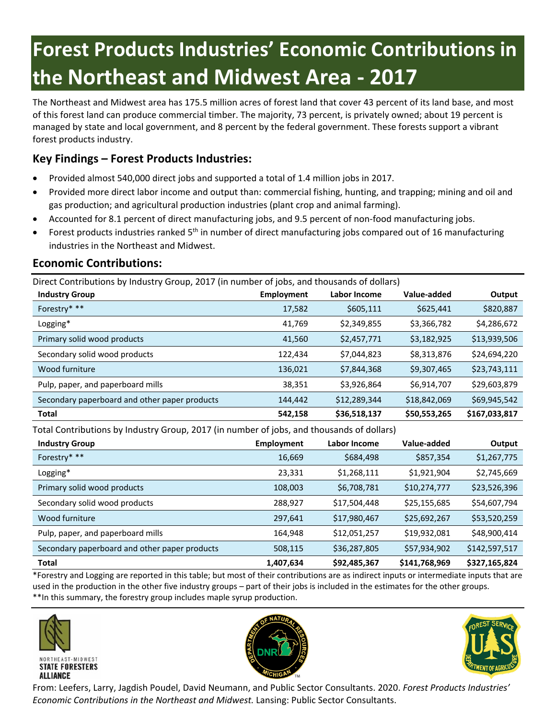# **Forest Products Industries' Economic Contributions in the Northeast and Midwest Area - 2017**

The Northeast and Midwest area has 175.5 million acres of forest land that cover 43 percent of its land base, and most of this forest land can produce commercial timber. The majority, 73 percent, is privately owned; about 19 percent is managed by state and local government, and 8 percent by the federal government. These forests support a vibrant forest products industry.

# **Key Findings – Forest Products Industries:**

- Provided almost 540,000 direct jobs and supported a total of 1.4 million jobs in 2017.
- Provided more direct labor income and output than: commercial fishing, hunting, and trapping; mining and oil and gas production; and agricultural production industries (plant crop and animal farming).
- Accounted for 8.1 percent of direct manufacturing jobs, and 9.5 percent of non-food manufacturing jobs.
- Forest products industries ranked 5th in number of direct manufacturing jobs compared out of 16 manufacturing industries in the Northeast and Midwest.

## **Economic Contributions:**

Direct Contributions by Industry Group, 2017 (in number of jobs, and thousands of dollars)

| <b>Industry Group</b>                         | <b>Employment</b> | Labor Income | Value-added  | Output        |
|-----------------------------------------------|-------------------|--------------|--------------|---------------|
| Forestry* **                                  | 17,582            | \$605,111    | \$625,441    | \$820,887     |
| Logging*                                      | 41,769            | \$2,349,855  | \$3,366,782  | \$4,286,672   |
| Primary solid wood products                   | 41,560            | \$2,457,771  | \$3,182,925  | \$13,939,506  |
| Secondary solid wood products                 | 122,434           | \$7,044,823  | \$8,313,876  | \$24,694,220  |
| Wood furniture                                | 136,021           | \$7,844,368  | \$9,307,465  | \$23,743,111  |
| Pulp, paper, and paperboard mills             | 38,351            | \$3,926,864  | \$6,914,707  | \$29,603,879  |
| Secondary paperboard and other paper products | 144,442           | \$12,289,344 | \$18,842,069 | \$69,945,542  |
| <b>Total</b>                                  | 542,158           | \$36,518,137 | \$50,553,265 | \$167,033,817 |

Total Contributions by Industry Group, 2017 (in number of jobs, and thousands of dollars)

| <b>Industry Group</b>                         | <b>Employment</b> | Labor Income | Value-added   | Output        |
|-----------------------------------------------|-------------------|--------------|---------------|---------------|
| Forestry* **                                  | 16,669            | \$684,498    | \$857,354     | \$1,267,775   |
| Logging*                                      | 23,331            | \$1,268,111  | \$1,921,904   | \$2,745,669   |
| Primary solid wood products                   | 108,003           | \$6,708,781  | \$10,274,777  | \$23,526,396  |
| Secondary solid wood products                 | 288,927           | \$17,504,448 | \$25,155,685  | \$54,607,794  |
| Wood furniture                                | 297,641           | \$17,980,467 | \$25,692,267  | \$53,520,259  |
| Pulp, paper, and paperboard mills             | 164,948           | \$12,051,257 | \$19,932,081  | \$48,900,414  |
| Secondary paperboard and other paper products | 508,115           | \$36,287,805 | \$57,934,902  | \$142,597,517 |
| <b>Total</b>                                  | 1,407,634         | \$92,485,367 | \$141,768,969 | \$327,165,824 |

\*Forestry and Logging are reported in this table; but most of their contributions are as indirect inputs or intermediate inputs that are used in the production in the other five industry groups – part of their jobs is included in the estimates for the other groups. \*\*In this summary, the forestry group includes maple syrup production.







From: Leefers, Larry, Jagdish Poudel, David Neumann, and Public Sector Consultants. 2020. *Forest Products Industries' Economic Contributions in the Northeast and Midwest.* Lansing: Public Sector Consultants.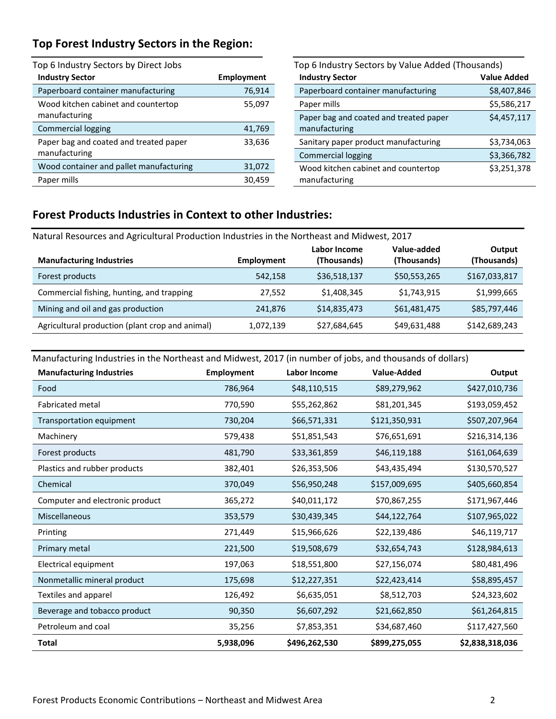## **Top Forest Industry Sectors in the Region:**

| Top 6 Industry Sectors by Direct Jobs                   |                   |  |  |  |  |
|---------------------------------------------------------|-------------------|--|--|--|--|
| <b>Industry Sector</b>                                  | <b>Employment</b> |  |  |  |  |
| Paperboard container manufacturing                      | 76,914            |  |  |  |  |
| Wood kitchen cabinet and countertop<br>manufacturing    | 55,097            |  |  |  |  |
| <b>Commercial logging</b>                               | 41,769            |  |  |  |  |
| Paper bag and coated and treated paper<br>manufacturing | 33,636            |  |  |  |  |
| Wood container and pallet manufacturing                 | 31,072            |  |  |  |  |
| Paper mills                                             | 30,459            |  |  |  |  |

| Top 6 Industry Sectors by Value Added (Thousands)       |                    |  |  |  |
|---------------------------------------------------------|--------------------|--|--|--|
| <b>Industry Sector</b>                                  | <b>Value Added</b> |  |  |  |
| Paperboard container manufacturing                      | \$8,407,846        |  |  |  |
| Paper mills                                             | \$5,586,217        |  |  |  |
| Paper bag and coated and treated paper<br>manufacturing | \$4,457,117        |  |  |  |
| Sanitary paper product manufacturing                    | \$3,734,063        |  |  |  |
| <b>Commercial logging</b>                               | \$3,366,782        |  |  |  |
| Wood kitchen cabinet and countertop<br>manufacturing    | \$3,251,378        |  |  |  |

#### **Forest Products Industries in Context to other Industries:**

Natural Resources and Agricultural Production Industries in the Northeast and Midwest, 2017

| <b>Manufacturing Industries</b>                 | Employment | Labor Income<br>(Thousands) | Value-added<br>(Thousands) | Output<br>(Thousands) |
|-------------------------------------------------|------------|-----------------------------|----------------------------|-----------------------|
| Forest products                                 | 542,158    | \$36,518,137                | \$50,553,265               | \$167,033,817         |
| Commercial fishing, hunting, and trapping       | 27,552     | \$1,408,345                 | \$1,743,915                | \$1,999,665           |
| Mining and oil and gas production               | 241,876    | \$14,835,473                | \$61,481,475               | \$85,797,446          |
| Agricultural production (plant crop and animal) | 1,072,139  | \$27,684,645                | \$49,631,488               | \$142,689,243         |

Manufacturing Industries in the Northeast and Midwest, 2017 (in number of jobs, and thousands of dollars)

| <b>Manufacturing Industries</b> | <b>Employment</b> | Labor Income  | Value-Added   | Output          |
|---------------------------------|-------------------|---------------|---------------|-----------------|
| Food                            | 786,964           | \$48,110,515  | \$89,279,962  | \$427,010,736   |
| <b>Fabricated metal</b>         | 770,590           | \$55,262,862  | \$81,201,345  | \$193,059,452   |
| Transportation equipment        | 730,204           | \$66,571,331  | \$121,350,931 | \$507,207,964   |
| Machinery                       | 579,438           | \$51,851,543  | \$76,651,691  | \$216,314,136   |
| Forest products                 | 481,790           | \$33,361,859  | \$46,119,188  | \$161,064,639   |
| Plastics and rubber products    | 382,401           | \$26,353,506  | \$43,435,494  | \$130,570,527   |
| Chemical                        | 370,049           | \$56,950,248  | \$157,009,695 | \$405,660,854   |
| Computer and electronic product | 365,272           | \$40,011,172  | \$70,867,255  | \$171,967,446   |
| Miscellaneous                   | 353,579           | \$30,439,345  | \$44,122,764  | \$107,965,022   |
| Printing                        | 271,449           | \$15,966,626  | \$22,139,486  | \$46,119,717    |
| Primary metal                   | 221,500           | \$19,508,679  | \$32,654,743  | \$128,984,613   |
| Electrical equipment            | 197,063           | \$18,551,800  | \$27,156,074  | \$80,481,496    |
| Nonmetallic mineral product     | 175,698           | \$12,227,351  | \$22,423,414  | \$58,895,457    |
| Textiles and apparel            | 126,492           | \$6,635,051   | \$8,512,703   | \$24,323,602    |
| Beverage and tobacco product    | 90,350            | \$6,607,292   | \$21,662,850  | \$61,264,815    |
| Petroleum and coal              | 35,256            | \$7,853,351   | \$34,687,460  | \$117,427,560   |
| <b>Total</b>                    | 5,938,096         | \$496,262,530 | \$899,275,055 | \$2,838,318,036 |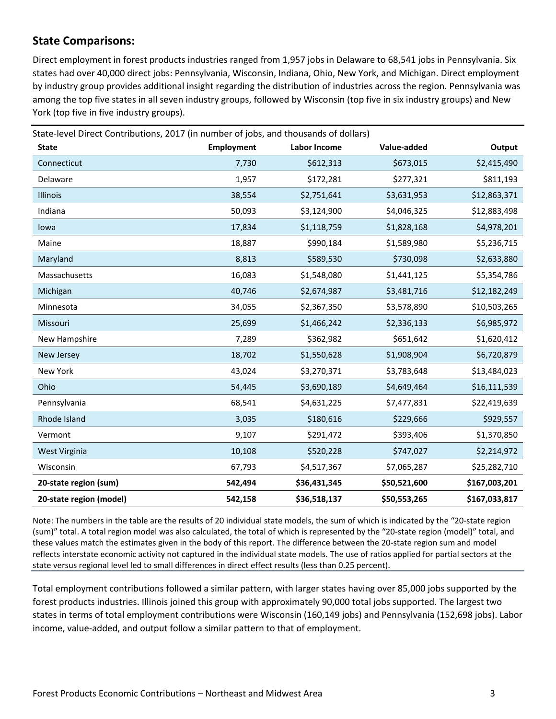## **State Comparisons:**

Direct employment in forest products industries ranged from 1,957 jobs in Delaware to 68,541 jobs in Pennsylvania. Six states had over 40,000 direct jobs: Pennsylvania, Wisconsin, Indiana, Ohio, New York, and Michigan. Direct employment by industry group provides additional insight regarding the distribution of industries across the region. Pennsylvania was among the top five states in all seven industry groups, followed by Wisconsin (top five in six industry groups) and New York (top five in five industry groups).

| State-level Direct Contributions, 2017 (in number of jobs, and thousands of dollars)<br><b>State</b> | <b>Employment</b> | Labor Income | Value-added  | Output        |
|------------------------------------------------------------------------------------------------------|-------------------|--------------|--------------|---------------|
| Connecticut                                                                                          | 7,730             | \$612,313    | \$673,015    | \$2,415,490   |
| Delaware                                                                                             | 1,957             | \$172,281    | \$277,321    | \$811,193     |
| Illinois                                                                                             | 38,554            | \$2,751,641  | \$3,631,953  | \$12,863,371  |
| Indiana                                                                                              | 50,093            | \$3,124,900  | \$4,046,325  | \$12,883,498  |
| lowa                                                                                                 | 17,834            | \$1,118,759  | \$1,828,168  | \$4,978,201   |
| Maine                                                                                                | 18,887            | \$990,184    | \$1,589,980  | \$5,236,715   |
| Maryland                                                                                             | 8,813             | \$589,530    | \$730,098    | \$2,633,880   |
| Massachusetts                                                                                        | 16,083            | \$1,548,080  | \$1,441,125  | \$5,354,786   |
| Michigan                                                                                             | 40,746            | \$2,674,987  | \$3,481,716  | \$12,182,249  |
| Minnesota                                                                                            | 34,055            | \$2,367,350  | \$3,578,890  | \$10,503,265  |
| Missouri                                                                                             | 25,699            | \$1,466,242  | \$2,336,133  | \$6,985,972   |
| New Hampshire                                                                                        | 7,289             | \$362,982    | \$651,642    | \$1,620,412   |
| New Jersey                                                                                           | 18,702            | \$1,550,628  | \$1,908,904  | \$6,720,879   |
| New York                                                                                             | 43,024            | \$3,270,371  | \$3,783,648  | \$13,484,023  |
| Ohio                                                                                                 | 54,445            | \$3,690,189  | \$4,649,464  | \$16,111,539  |
| Pennsylvania                                                                                         | 68,541            | \$4,631,225  | \$7,477,831  | \$22,419,639  |
| Rhode Island                                                                                         | 3,035             | \$180,616    | \$229,666    | \$929,557     |
| Vermont                                                                                              | 9,107             | \$291,472    | \$393,406    | \$1,370,850   |
| West Virginia                                                                                        | 10,108            | \$520,228    | \$747,027    | \$2,214,972   |
| Wisconsin                                                                                            | 67,793            | \$4,517,367  | \$7,065,287  | \$25,282,710  |
| 20-state region (sum)                                                                                | 542,494           | \$36,431,345 | \$50,521,600 | \$167,003,201 |
| 20-state region (model)                                                                              | 542,158           | \$36,518,137 | \$50,553,265 | \$167,033,817 |

Note: The numbers in the table are the results of 20 individual state models, the sum of which is indicated by the "20-state region (sum)" total. A total region model was also calculated, the total of which is represented by the "20-state region (model)" total, and these values match the estimates given in the body of this report. The difference between the 20-state region sum and model reflects interstate economic activity not captured in the individual state models. The use of ratios applied for partial sectors at the state versus regional level led to small differences in direct effect results (less than 0.25 percent).

Total employment contributions followed a similar pattern, with larger states having over 85,000 jobs supported by the forest products industries. Illinois joined this group with approximately 90,000 total jobs supported. The largest two states in terms of total employment contributions were Wisconsin (160,149 jobs) and Pennsylvania (152,698 jobs). Labor income, value-added, and output follow a similar pattern to that of employment.